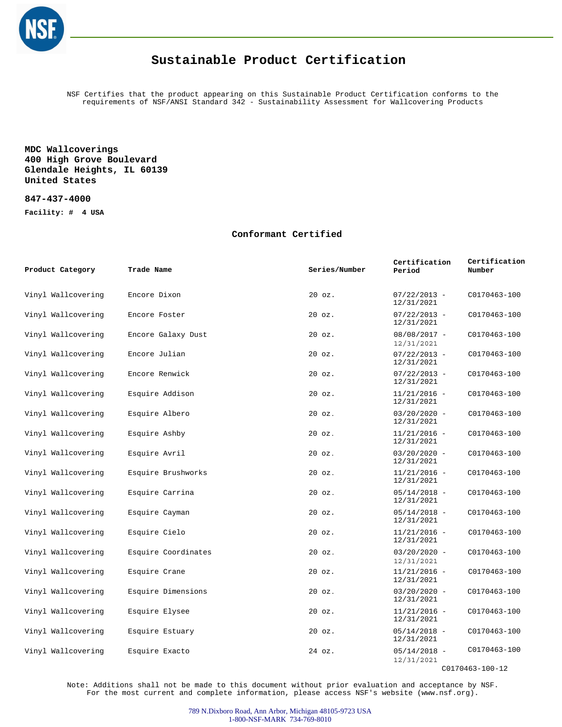

### **Sustainable Product Certification**

NSF Certifies that the product appearing on this Sustainable Product Certification conforms to the requirements of NSF/ANSI Standard 342 - Sustainability Assessment for Wallcovering Products

### **MDC Wallcoverings 400 High Grove Boulevard Glendale Heights, IL 60139 United States**

#### **847-437-4000**

**Facility: # 4 USA**

#### **Conformant Certified**

| Product Category   | Trade Name          | Series/Number | Certification<br>Period      | Certification<br>Number |
|--------------------|---------------------|---------------|------------------------------|-------------------------|
| Vinyl Wallcovering | Encore Dixon        | $20$ $oz.$    | $07/22/2013 -$<br>12/31/2021 | C0170463-100            |
| Vinyl Wallcovering | Encore Foster       | 20 oz.        | $07/22/2013 -$<br>12/31/2021 | C0170463-100            |
| Vinyl Wallcovering | Encore Galaxy Dust  | $20$ $oz.$    | $08/08/2017 -$<br>12/31/2021 | C0170463-100            |
| Vinyl Wallcovering | Encore Julian       | 20 oz.        | $07/22/2013 -$<br>12/31/2021 | C0170463-100            |
| Vinyl Wallcovering | Encore Renwick      | $20$ $oz.$    | $07/22/2013 -$<br>12/31/2021 | C0170463-100            |
| Vinyl Wallcovering | Esquire Addison     | 20 oz.        | $11/21/2016 -$<br>12/31/2021 | C0170463-100            |
| Vinyl Wallcovering | Esquire Albero      | $20$ $oz.$    | $03/20/2020 -$<br>12/31/2021 | C0170463-100            |
| Vinyl Wallcovering | Esquire Ashby       | $20$ $oz.$    | $11/21/2016$ -<br>12/31/2021 | C0170463-100            |
| Vinyl Wallcovering | Esquire Avril       | $20$ $oz.$    | $03/20/2020 -$<br>12/31/2021 | C0170463-100            |
| Vinyl Wallcovering | Esquire Brushworks  | $20$ $oz.$    | $11/21/2016 -$<br>12/31/2021 | C0170463-100            |
| Vinyl Wallcovering | Esquire Carrina     | $20$ $oz.$    | $05/14/2018 -$<br>12/31/2021 | C0170463-100            |
| Vinyl Wallcovering | Esquire Cayman      | 20 oz.        | $05/14/2018 -$<br>12/31/2021 | C0170463-100            |
| Vinyl Wallcovering | Esquire Cielo       | $20$ $oz.$    | $11/21/2016 -$<br>12/31/2021 | C0170463-100            |
| Vinyl Wallcovering | Esquire Coordinates | $20$ $oz.$    | $03/20/2020 -$<br>12/31/2021 | C0170463-100            |
| Vinyl Wallcovering | Esquire Crane       | 20 oz.        | $11/21/2016 -$<br>12/31/2021 | C0170463-100            |
| Vinyl Wallcovering | Esquire Dimensions  | $20$ $oz.$    | $03/20/2020 -$<br>12/31/2021 | C0170463-100            |
| Vinyl Wallcovering | Esquire Elysee      | $20$ $oz.$    | $11/21/2016 -$<br>12/31/2021 | C0170463-100            |
| Vinyl Wallcovering | Esquire Estuary     | $20$ $oz.$    | $05/14/2018 -$<br>12/31/2021 | C0170463-100            |
| Vinyl Wallcovering | Esquire Exacto      | 24 oz.        | $05/14/2018 -$<br>12/31/2021 | C0170463-100            |

C0170463-100-12

Note: Additions shall not be made to this document without prior evaluation and acceptance by NSF. For the most current and complete information, please access NSF's website (www.nsf.org).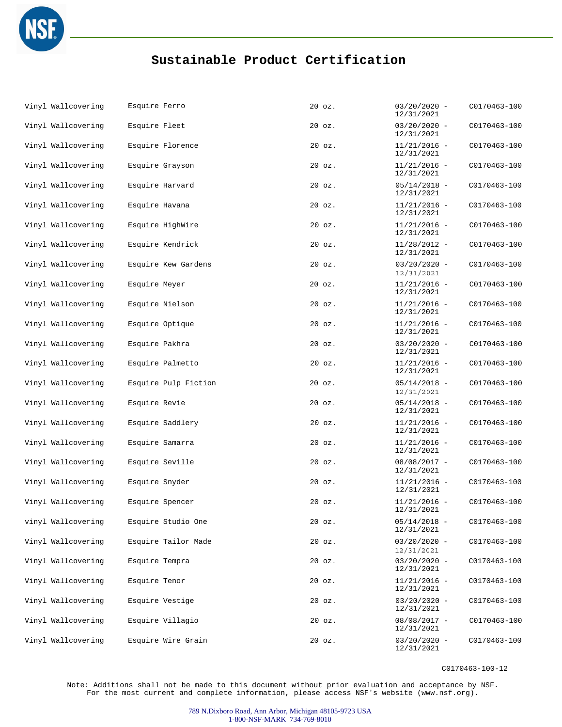

# **Sustainable Product Certification**

| Vinyl Wallcovering | Esquire Ferro        | $20$ $oz.$ | $03/20/2020 -$<br>12/31/2021 | C0170463-100 |
|--------------------|----------------------|------------|------------------------------|--------------|
| Vinyl Wallcovering | Esquire Fleet        | $20$ $oz.$ | $03/20/2020 -$<br>12/31/2021 | C0170463-100 |
| Vinyl Wallcovering | Esquire Florence     | $20$ $oz.$ | $11/21/2016 -$<br>12/31/2021 | C0170463-100 |
| Vinyl Wallcovering | Esquire Grayson      | $20$ $oz.$ | $11/21/2016 -$<br>12/31/2021 | C0170463-100 |
| Vinyl Wallcovering | Esquire Harvard      | $20$ $oz.$ | $05/14/2018 -$<br>12/31/2021 | C0170463-100 |
| Vinyl Wallcovering | Esquire Havana       | $20$ $oz.$ | $11/21/2016 -$<br>12/31/2021 | C0170463-100 |
| Vinyl Wallcovering | Esquire HighWire     | 20 oz.     | $11/21/2016 -$<br>12/31/2021 | C0170463-100 |
| Vinyl Wallcovering | Esquire Kendrick     | $20$ $oz.$ | $11/28/2012 -$<br>12/31/2021 | C0170463-100 |
| Vinyl Wallcovering | Esquire Kew Gardens  | $20$ $oz.$ | $03/20/2020 -$<br>12/31/2021 | C0170463-100 |
| Vinyl Wallcovering | Esquire Meyer        | $20$ $oz.$ | $11/21/2016 -$<br>12/31/2021 | C0170463-100 |
| Vinyl Wallcovering | Esquire Nielson      | $20$ $oz.$ | $11/21/2016 -$<br>12/31/2021 | C0170463-100 |
| Vinyl Wallcovering | Esquire Optique      | $20$ $oz.$ | $11/21/2016 -$<br>12/31/2021 | C0170463-100 |
| Vinyl Wallcovering | Esquire Pakhra       | $20$ $oz.$ | $03/20/2020 -$<br>12/31/2021 | C0170463-100 |
| Vinyl Wallcovering | Esquire Palmetto     | $20$ $oz.$ | $11/21/2016 -$<br>12/31/2021 | C0170463-100 |
| Vinyl Wallcovering | Esquire Pulp Fiction | $20$ $oz.$ | $05/14/2018 -$<br>12/31/2021 | C0170463-100 |
| Vinyl Wallcovering | Esquire Revie        | $20$ $oz.$ | $05/14/2018 -$<br>12/31/2021 | C0170463-100 |
| Vinyl Wallcovering | Esquire Saddlery     | $20$ $oz.$ | $11/21/2016 -$<br>12/31/2021 | C0170463-100 |
| Vinyl Wallcovering | Esquire Samarra      | $20$ $oz.$ | $11/21/2016 -$<br>12/31/2021 | C0170463-100 |
| Vinyl Wallcovering | Esquire Seville      | $20$ $oz.$ | $08/08/2017 -$<br>12/31/2021 | C0170463-100 |
| Vinyl Wallcovering | Esquire Snyder       | $20$ $oz.$ | $11/21/2016 -$<br>12/31/2021 | C0170463-100 |
| Vinyl Wallcovering | Esquire Spencer      | $20$ $oz.$ | $11/21/2016 -$<br>12/31/2021 | C0170463-100 |
| vinyl Wallcovering | Esquire Studio One   | $20$ $oz.$ | $05/14/2018 -$<br>12/31/2021 | C0170463-100 |
| Vinyl Wallcovering | Esquire Tailor Made  | $20$ $oz.$ | $03/20/2020 -$<br>12/31/2021 | C0170463-100 |
| Vinyl Wallcovering | Esquire Tempra       | $20$ $oz.$ | $03/20/2020 -$<br>12/31/2021 | C0170463-100 |
| Vinyl Wallcovering | Esquire Tenor        | $20$ $oz.$ | $11/21/2016 -$<br>12/31/2021 | C0170463-100 |
| Vinyl Wallcovering | Esquire Vestige      | $20$ $oz.$ | $03/20/2020 -$<br>12/31/2021 | C0170463-100 |
| Vinyl Wallcovering | Esquire Villagio     | 20 oz.     | $08/08/2017 -$<br>12/31/2021 | C0170463-100 |
| Vinyl Wallcovering | Esquire Wire Grain   | $20$ $oz.$ | $03/20/2020 -$<br>12/31/2021 | C0170463-100 |

C0170463-100-12

Note: Additions shall not be made to this document without prior evaluation and acceptance by NSF. For the most current and complete information, please access NSF's website (www.nsf.org).